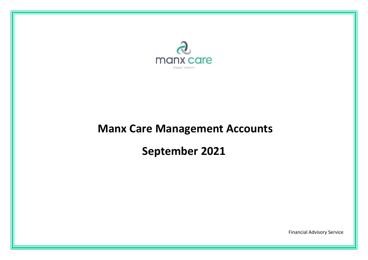

# **Manx Care Management Accounts**

# **September 2021**

Financial Advisory Service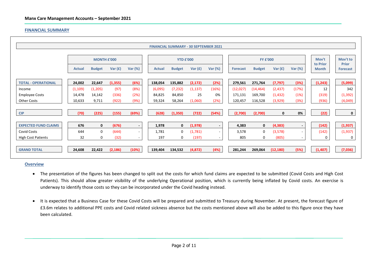#### **FINANCIAL SUMMARY**

|                             |               |                    |           |                          |               | <b>FINANCIAL SUMMARY - 30 SEPTEMBER 2021</b> |           |         |                 |                 |                         |                          |                          |                                 |
|-----------------------------|---------------|--------------------|-----------|--------------------------|---------------|----------------------------------------------|-----------|---------|-----------------|-----------------|-------------------------|--------------------------|--------------------------|---------------------------------|
|                             |               | <b>MONTH £'000</b> |           |                          |               | <b>YTD £'000</b>                             |           |         |                 | <b>FY £'000</b> |                         |                          |                          | Mov't to                        |
|                             | <b>Actual</b> | <b>Budget</b>      | Var $(f)$ | Var $(%)$                | <b>Actual</b> | <b>Budget</b>                                | Var $(f)$ | Var (%) | <b>Forecast</b> | <b>Budget</b>   | Var $(f)$               | Var $(\%)$               | to Prior<br><b>Month</b> | <b>Prior</b><br><b>Forecast</b> |
| <b>TOTAL - OPERATIONAL</b>  | 24,002        | 22,647             | (1, 355)  | (6%)                     | 138,054       | 135,882                                      | (2, 172)  | (2%)    | 279,561         | 271,764         | (7, 797)                | (3%)                     | (1, 243)                 | (5,099)                         |
| Income                      | (1, 109)      | (1,205)            | (97)      | (8%)                     | (6,095)       | (7, 232)                                     | (1, 137)  | (16%)   | (12,027)        | (14, 464)       | (2, 437)                | (17%)                    | 12                       | 342                             |
| <b>Employee Costs</b>       | 14,478        | 14,142             | (336)     | (2%)                     | 84,825        | 84,850                                       | 25        | 0%      | 171,131         | 169,700         | (1, 432)                | (1%)                     | (319)                    | (1, 392)                        |
| <b>Other Costs</b>          | 10,633        | 9,711              | (922)     | (9%)                     | 59,324        | 58,264                                       | (1,060)   | (2%)    | 120,457         | 116,528         | (3,929)                 | (3%)                     | (936)                    | (4,049)                         |
| <b>CIP</b>                  | (70)          | (225)              | (155)     | (69%)                    | (628)         | (1, 350)                                     | (722)     | (54%)   | (2,700)         | (2,700)         | 0                       | 0%                       | (22)                     | $\mathbf 0$                     |
| <b>EXPECTED FUND CLAIMS</b> | 676           | $\mathbf{0}$       | (676)     | $\overline{\phantom{a}}$ | 1,978         | 0                                            | (1,978)   |         | 4,383           |                 | $\mathbf 0$<br>(4, 383) | $\overline{\phantom{a}}$ | (142)                    | (1, 937)                        |
| <b>Covid Costs</b>          | 644           | 0                  | (644)     | $\sim$                   | 1,781         | $\mathbf 0$                                  | (1,781)   |         | 3,578           |                 | 0<br>(3,578)            | $\overline{\phantom{a}}$ | (142)                    | (1,937)                         |
| <b>High Cost Patients</b>   | 32            | 0                  | (32)      | $\sim$                   | 197           | 0                                            | (197)     |         |                 | 805             | 0<br>(805)              | $\sim$                   | 0                        | 0                               |
| <b>GRAND TOTAL</b>          | 24,608        | 22,422             | (2, 186)  | (10%)                    | 139,404       | 134,532                                      | (4,872)   | (4%)    | 281,244         | 269,064         | (12, 180)               | (5%)                     | (1, 407)                 | (7,036)                         |

#### **Overview**

- The presentation of the figures has been changed to split out the costs for which fund claims are expected to be submitted (Covid Costs and High Cost Patients). This should allow greater visibility of the underlying Operational position, which is currently being inflated by Covid costs. An exercise is underway to identify those costs so they can be incorporated under the Covid heading instead.
- It is expected that a Business Case for these Covid Costs will be prepared and submitted to Treasury during November. At present, the forecast figure of £3.6m relates to additional PPE costs and Covid related sickness absence but the costs mentioned above will also be added to this figure once they have been calculated.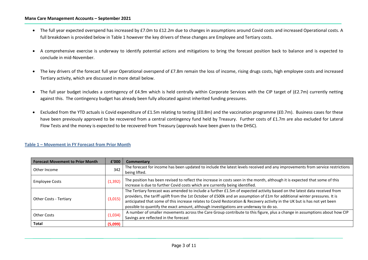#### **Manx Care Management Accounts – September 2021**

- The full year expected overspend has increased by £7.0m to £12.2m due to changes in assumptions around Covid costs and increased Operational costs. A full breakdown is provided below in Table 1 however the key drivers of these changes are Employee and Tertiary costs.
- A comprehensive exercise is underway to identify potential actions and mitigations to bring the forecast position back to balance and is expected to conclude in mid-November.
- The key drivers of the forecast full year Operational overspend of £7.8m remain the loss of income, rising drugs costs, high employee costs and increased Tertiary activity, which are discussed in more detail below.
- The full year budget includes a contingency of £4.9m which is held centrally within Corporate Services with the CIP target of (£2.7m) currently netting against this. The contingency budget has already been fully allocated against inherited funding pressures.
- Excluded from the YTD actuals is Covid expenditure of £1.5m relating to testing (£0.8m) and the vaccination programme (£0.7m). Business cases for these have been previously approved to be recovered from a central contingency fund held by Treasury. Further costs of £1.7m are also excluded for Lateral Flow Tests and the money is expected to be recovered from Treasury (approvals have been given to the DHSC).

| <b>Forecast Movement to Prior Month</b> | £'000    | Commentary                                                                                                                                                                                                                                                                                                                                                                                                                                                                   |
|-----------------------------------------|----------|------------------------------------------------------------------------------------------------------------------------------------------------------------------------------------------------------------------------------------------------------------------------------------------------------------------------------------------------------------------------------------------------------------------------------------------------------------------------------|
| Other Income                            | 342      | The forecast for income has been updated to include the latest levels received and any improvements from service restrictions<br>being lifted.                                                                                                                                                                                                                                                                                                                               |
| <b>Employee Costs</b>                   | (1, 392) | The position has been revised to reflect the increase in costs seen in the month, although it is expected that some of this<br>increase is due to further Covid costs which are currently being identified.                                                                                                                                                                                                                                                                  |
| <b>Other Costs - Tertiary</b>           | (3,015)  | The Tertiary forecast was amended to include a further £1.5m of expected activity based on the latest data received from<br>providers, the tariff uplift from the 1st October of £500k and an assumption of £1m for additional winter pressures. It is<br>anticipated that some of this increase relates to Covid Restoration & Recovery activity in the UK but is has not yet been<br>possible to quantify the exact amount, although investigations are underway to do so. |
| Other Costs                             | (1,034)  | A number of smaller movements across the Care Group contribute to this figure, plus a change in assumptions about how CIP<br>Savings are reflected in the forecast                                                                                                                                                                                                                                                                                                           |
| <b>Total</b>                            | (5,099)  |                                                                                                                                                                                                                                                                                                                                                                                                                                                                              |
|                                         |          |                                                                                                                                                                                                                                                                                                                                                                                                                                                                              |

#### **Table 1 – Movement in FY Forecast from Prior Month**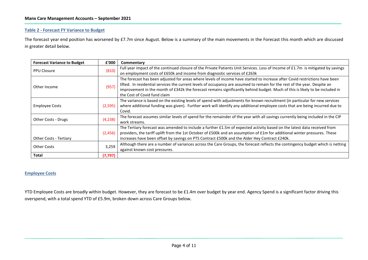#### **Table 2 - Forecast FY Variance to Budget**

The forecast year end position has worsened by £7.7m since August. Below is a summary of the main movements in the Forecast this month which are discussed in greater detail below.

| <b>Forecast Variance to Budget</b> | £'000    | Commentary                                                                                                                       |
|------------------------------------|----------|----------------------------------------------------------------------------------------------------------------------------------|
| <b>PPU Closure</b>                 | (810)    | Full year impact of the continued closure of the Private Patients Unit Services. Loss of Income of £1.7m is mitigated by savings |
|                                    |          | on employment costs of £650k and income from diagnostic services of £263k                                                        |
|                                    |          | The forecast has been adjusted for areas where levels of income have started to increase after Covid restrictions have been      |
| Other Income                       | (957)    | lifted. In residential services the current levels of occupancy are assumed to remain for the rest of the year. Despite an       |
|                                    |          | improvement in the month of £342k the forecast remains significantly behind budget. Much of this is likely to be included in     |
|                                    |          | the Cost of Covid fund claim                                                                                                     |
|                                    |          | The variance is based on the existing levels of spend with adjustments for known recruitment (in particular for new services     |
| <b>Employee Costs</b>              | (2,595)  | where additional funding was given). Further work will identify any additional employee costs that are being incurred due to     |
|                                    |          | Covid.                                                                                                                           |
|                                    | (4, 238) | The forecast assumes similar levels of spend for the remainder of the year with all savings currently being included in the CIP  |
| Other Costs - Drugs                |          | work streams.                                                                                                                    |
|                                    |          | The Tertiary forecast was amended to include a further £1.5m of expected activity based on the latest data received from         |
|                                    | (2,456)  | providers, the tariff uplift from the 1st October of £500k and an assumption of £1m for additional winter pressures. These       |
| <b>Other Costs - Tertiary</b>      |          | increases have been offset by savings on PTS Contract £500k and the Alder Hey Contract £240k.                                    |
| <b>Other Costs</b>                 | 3,259    | Although there are a number of variances across the Care Groups, the forecast reflects the contingency budget which is netting   |
|                                    |          | against known cost pressures.                                                                                                    |
| <b>Total</b>                       | (7, 797) |                                                                                                                                  |

#### **Employee Costs**

YTD Employee Costs are broadly within budget. However, they are forecast to be £1.4m over budget by year end. Agency Spend is a significant factor driving this overspend, with a total spend YTD of £5.9m, broken down across Care Groups below.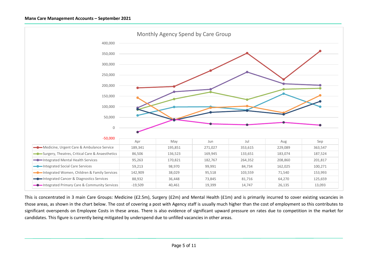

This is concentrated in 3 main Care Groups: Medicine (£2.5m), Surgery (£2m) and Mental Health (£1m) and is primarily incurred to cover existing vacancies in those areas, as shown in the chart below. The cost of covering a post with Agency staff is usually much higher than the cost of employment so this contributes to significant overspends on Employee Costs in these areas. There is also evidence of significant upward pressure on rates due to competition in the market for candidates. This figure is currently being mitigated by underspend due to unfilled vacancies in other areas.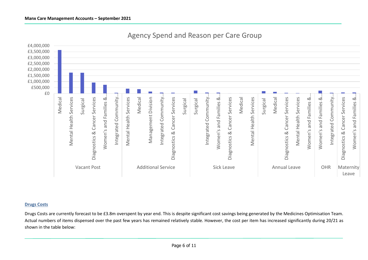

Leave

# Agency Spend and Reason per Care Group

# **Drugs Costs**

Drugs Costs are currently forecast to be £3.8m overspent by year end. This is despite significant cost savings being generated by the Medicines Optimisation Team. Actual numbers of items dispensed over the past few years has remained relatively stable. However, the cost per item has increased significantly during 20/21 as shown in the table below: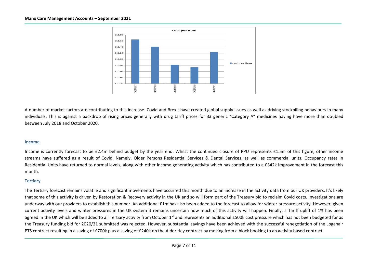

A number of market factors are contributing to this increase. Covid and Brexit have created global supply issues as well as driving stockpiling behaviours in many individuals. This is against a backdrop of rising prices generally with drug tariff prices for 33 generic "Category A" medicines having have more than doubled between July 2018 and October 2020.

#### **Income**

Income is currently forecast to be £2.4m behind budget by the year end. Whilst the continued closure of PPU represents £1.5m of this figure, other income streams have suffered as a result of Covid. Namely, Older Persons Residential Services & Dental Services, as well as commercial units. Occupancy rates in Residential Units have returned to normal levels, along with other income generating activity which has contributed to a £342k improvement in the forecast this month.

#### **Tertiary**

The Tertiary forecast remains volatile and significant movements have occurred this month due to an increase in the activity data from our UK providers. It's likely that some of this activity is driven by Restoration & Recovery activity in the UK and so will form part of the Treasury bid to reclaim Covid costs. Investigations are underway with our providers to establish this number. An additional £1m has also been added to the forecast to allow for winter pressure activity. However, given current activity levels and winter pressures in the UK system it remains uncertain how much of this activity will happen. Finally, a Tariff uplift of 1% has been agreed in the UK which will be added to all Tertiary activity from October 1<sup>st</sup> and represents an additional £500k cost pressure which has not been budgeted for as the Treasury funding bid for 2020/21 submitted was rejected. However, substantial savings have been achieved with the successful renegotiation of the Loganair PTS contract resulting in a saving of £700k plus a saving of £240k on the Alder Hey contract by moving from a block booking to an activity based contract.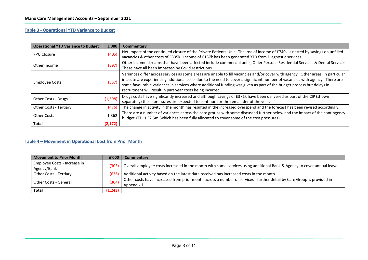# **Table 3 - Operational YTD Variance to Budget**

| <b>Operational YTD Variance to Budget</b> | £'000    | Commentary                                                                                                                                                                                                                                                                                                                                                                                                                                             |
|-------------------------------------------|----------|--------------------------------------------------------------------------------------------------------------------------------------------------------------------------------------------------------------------------------------------------------------------------------------------------------------------------------------------------------------------------------------------------------------------------------------------------------|
| <b>PPU Closure</b>                        | (405)    | Net impact of the continued closure of the Private Patients Unit. The loss of income of £740k is netted by savings on unfilled                                                                                                                                                                                                                                                                                                                         |
|                                           |          | vacancies & other costs of £335k. Income of £137k has been generated YTD from Diagnostic services.                                                                                                                                                                                                                                                                                                                                                     |
| Other Income                              | (397)    | Other income streams that have been affected include commercial units, Older Persons Residential Services & Dental Services.                                                                                                                                                                                                                                                                                                                           |
|                                           |          | These have all been impacted by Covid restrictions.                                                                                                                                                                                                                                                                                                                                                                                                    |
| <b>Employee Costs</b>                     | (557)    | Variances differ across services as some areas are unable to fill vacancies and/or cover with agency. Other areas, in particular<br>in acute are experiencing additional costs due to the need to cover a significant number of vacancies with agency. There are<br>some favourable variances in services where additional funding was given as part of the budget process but delays in<br>recruitment will result in part year costs being incurred. |
| Other Costs - Drugs                       | (1,698)  | Drugs costs have significantly increased and although savings of £371k have been delivered as part of the CIP (shown<br>separately) these pressures are expected to continue for the remainder of the year.                                                                                                                                                                                                                                            |
| Other Costs - Tertiary                    | (476)    | The change in activity in the month has resulted in the increased overspend and the forecast has been revised accordingly.                                                                                                                                                                                                                                                                                                                             |
| <b>Other Costs</b>                        | 1,362    | There are a number of variances across the care groups with some discussed further below and the impact of the contingency                                                                                                                                                                                                                                                                                                                             |
|                                           |          | budget YTD is £2.5m (which has been fully allocated to cover some of the cost pressures).                                                                                                                                                                                                                                                                                                                                                              |
| Total                                     | (2, 172) |                                                                                                                                                                                                                                                                                                                                                                                                                                                        |

# **Table 4 – Movement in Operational Cost from Prior Month**

| Movement to Prior Month                     | E'000    | Commentary                                                                                                            |
|---------------------------------------------|----------|-----------------------------------------------------------------------------------------------------------------------|
| Employee Costs - Increase in<br>Agency/Bank | (303)    | Overall employee costs increased in the month with some services using additional Bank & Agency to cover annual leave |
|                                             |          |                                                                                                                       |
| Other Costs - Tertiary                      | (636)    | Additional activity based on the latest data received has increased costs in the month                                |
| Other Costs - General                       | (304)    | Other costs have increased from prior month across a number of services - further detail by Care Group is provided in |
|                                             |          | Appendix 1                                                                                                            |
| <b>Total</b>                                | (1, 243) |                                                                                                                       |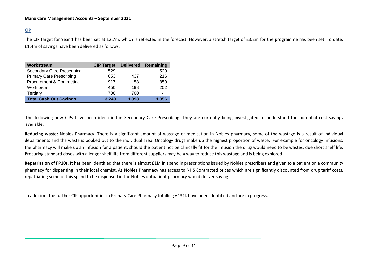# **CIP**

The CIP target for Year 1 has been set at £2.7m, which is reflected in the forecast. However, a stretch target of £3.2m for the programme has been set. To date, £1.4m of savings have been delivered as follows:

| Workstream                           | <b>CIP Target</b> | <b>Delivered</b> | Remaining |
|--------------------------------------|-------------------|------------------|-----------|
| <b>Secondary Care Prescribing</b>    | 529               | ٠                | 529       |
| <b>Primary Care Prescribing</b>      | 653               | 437              | 216       |
| <b>Procurement &amp; Contracting</b> | 917               | 58               | 859       |
| Workforce                            | 450               | 198              | 252       |
| Tertiary                             | 700               | 700              |           |
| <b>Total Cash Out Savings</b>        | 3,249             | 1,393            | 1,856     |

The following new CIPs have been identified in Secondary Care Prescribing. They are currently being investigated to understand the potential cost savings available.

**Reducing waste:** Nobles Pharmacy. There is a significant amount of wastage of medication in Nobles pharmacy, some of the wastage is a result of individual departments and the waste is booked out to the individual area. Oncology drugs make up the highest proportion of waste. For example for oncology infusions, the pharmacy will make up an infusion for a patient, should the patient not be clinically fit for the infusion the drug would need to be wastes, due short shelf life. Procuring standard doses with a longer shelf life from different suppliers may be a way to reduce this wastage and is being explored.

**Repatriation of FP10s**. It has been identified that there is almost £1M in spend in prescriptions issued by Nobles prescribers and given to a patient on a community pharmacy for dispensing in their local chemist. As Nobles Pharmacy has access to NHS Contracted prices which are significantly discounted from drug tariff costs, repatriating some of this spend to be dispensed in the Nobles outpatient pharmacy would deliver saving.

In addition, the further CIP opportunities in Primary Care Pharmacy totalling £131k have been identified and are in progress.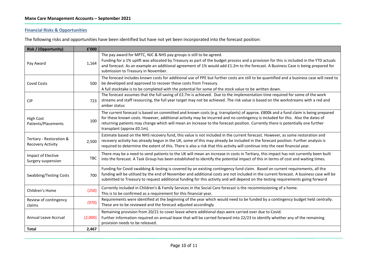# **Financial Risks & Opportunities**

The following risks and opportunities have been identified but have not yet been incorporated into the forecast position:

| Risk / (Opportunity)                                 | £'000      |                                                                                                                                                                                                                                                                                                                                                                                                                                     |
|------------------------------------------------------|------------|-------------------------------------------------------------------------------------------------------------------------------------------------------------------------------------------------------------------------------------------------------------------------------------------------------------------------------------------------------------------------------------------------------------------------------------|
| Pay Award                                            | 1,164      | The pay award for MPTC, NJC & NHS pay groups is still to be agreed.<br>Funding for a 1% uplift was allocated by Treasury as part of the budget process and a provision for this is included in the YTD actuals<br>and forecast. As an example an additional agreement of 1% would add £1.2m to the forecast. A Business Case is being prepared for<br>submission to Treasury in November.                                           |
| <b>Covid Costs</b>                                   | 500        | The forecast includes known costs for additional use of PPE but further costs are still to be quantified and a business case will need to<br>be developed and approved to recover these costs from Treasury.<br>A full stocktake is to be completed with the potential for some of the stock value to be written down.                                                                                                              |
| <b>CIP</b>                                           | 723        | The forecast assumes that the full saving of £2.7m is achieved. Due to the implementation time required for some of the work<br>streams and staff resourcing, the full year target may not be achieved. The risk value is based on the workstreams with a red and<br>amber status                                                                                                                                                   |
| <b>High Cost</b><br>Patients/Placements              | 100        | The current forecast is based on committed and known costs (e.g. transplants) of approx. £800k and a fund claim is being prepared<br>for these known costs. However, additional activity may be incurred and no contingency is included for this. Also the dates of<br>returning patients may change which will mean an increase to the forecast position. Currently there is potentially one further<br>transplant (approx £0.1m). |
| Tertiary - Restoration &<br><b>Recovery Activity</b> | 2,500      | Estimate based on the NHS recovery fund, this value is not included in the current forecast. However, as some restoration and<br>recovery activity has already begun in the UK, some of this may already be included in the forecast position. Further analysis is<br>required to determine the extent of this. There is also a risk that this activity will continue into the next financial year.                                 |
| Impact of Elective<br>Surgery suspension             | <b>TBC</b> | There may be a need to send patients to the UK will mean an increase in costs in Tertiary, this impact has not currently been built<br>into the forecast. A Task Group has been established to identify the potential impact of this in terms of cost and waiting times.                                                                                                                                                            |
| Swabbing/Testing Costs                               | 700        | Funding for Covid swabbing & testing is covered by an existing contingency fund claim. Based on current requirements, all the<br>funding will be utilised by the end of November and additional costs are not included in the current forecast. A business case will be<br>submitted to Treasury to request additional funding for this activity and will depend on the testing requirements going forward                          |
| Children's Home                                      | (250)      | Currently included in Children's & Family Services in the Social Care forecast is the recommissioning of a home.<br>This is to be confirmed as a requirement for this financial year.                                                                                                                                                                                                                                               |
| Review of contingency<br>claims                      | (970)      | Requirements were identified at the beginning of the year which would need to be funded by a contingency budget held centrally.<br>These are to be reviewed and the forecast adjusted accordingly                                                                                                                                                                                                                                   |
| Annual Leave Accrual                                 | (2,000)    | Remaining provision from 20/21 to cover leave where additional days were carried over due to Covid.<br>Further information required on annual leave that will be carried forward into 22/23 to identify whether any of the remaining<br>provision needs to be released.                                                                                                                                                             |
| <b>Total</b>                                         | 2,467      |                                                                                                                                                                                                                                                                                                                                                                                                                                     |